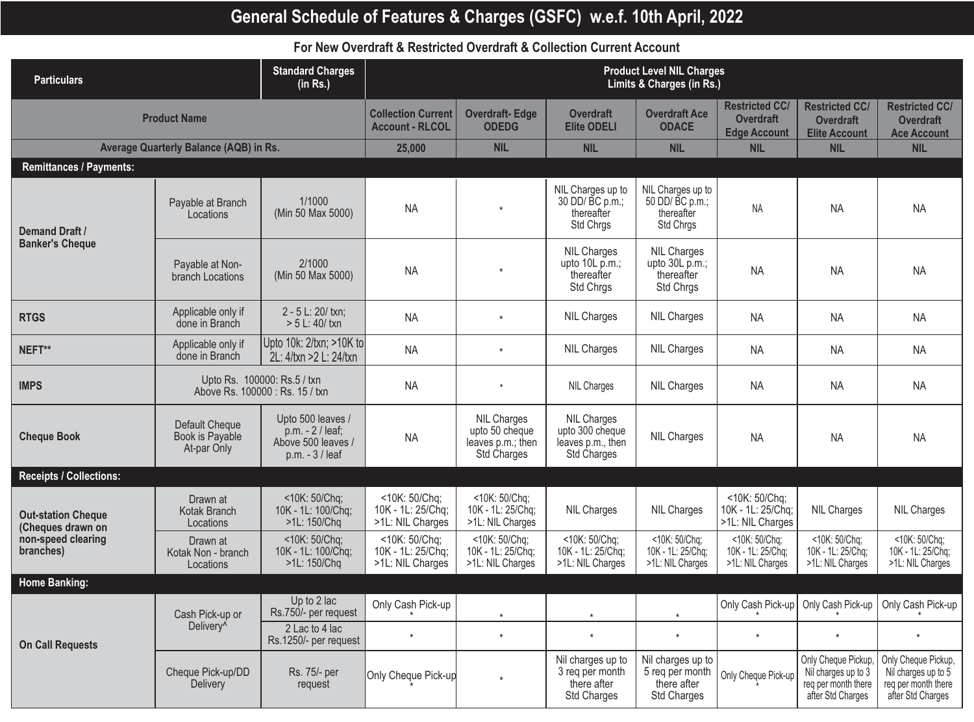# **General Schedule of Features & Charges (GSFC) w.e.f. 10th April, 2022**

## **For New Overdraft & Restricted Overdraft & Collection Current Account**

| <b>Particulars</b>                             |                                                  | <b>Standard Charges</b><br>(in Rs.)                                              | <b>Product Level NIL Charges</b><br>Limits & Charges (in Rs.) |                                                                          |                                                                           |                                                                               |                                                                   |                                                                                        |                                                                                        |
|------------------------------------------------|--------------------------------------------------|----------------------------------------------------------------------------------|---------------------------------------------------------------|--------------------------------------------------------------------------|---------------------------------------------------------------------------|-------------------------------------------------------------------------------|-------------------------------------------------------------------|----------------------------------------------------------------------------------------|----------------------------------------------------------------------------------------|
| <b>Product Name</b>                            |                                                  | <b>Collection Current</b><br><b>Account - RLCOL</b>                              | <b>Overdraft-Edge</b><br><b>ODEDG</b>                         | <b>Overdraft</b><br><b>Elite ODELI</b>                                   | <b>Overdraft Ace</b><br><b>ODACE</b>                                      | <b>Restricted CC/</b><br><b>Overdraft</b><br><b>Edge Account</b>              | <b>Restricted CC/</b><br><b>Overdraft</b><br><b>Elite Account</b> | <b>Restricted CC/</b><br><b>Overdraft</b><br><b>Ace Account</b>                        |                                                                                        |
|                                                | Average Quarterly Balance (AQB) in Rs.           |                                                                                  | 25,000                                                        | <b>NIL</b>                                                               | <b>NIL</b>                                                                | <b>NIL</b>                                                                    | <b>NIL</b>                                                        | <b>NIL</b>                                                                             | <b>NIL</b>                                                                             |
| <b>Remittances / Payments:</b>                 |                                                  |                                                                                  |                                                               |                                                                          |                                                                           |                                                                               |                                                                   |                                                                                        |                                                                                        |
| <b>Demand Draft /</b>                          | Payable at Branch<br>Locations                   | 1/1000<br>(Min 50 Max 5000)                                                      | <b>NA</b>                                                     | $^\star$                                                                 | NIL Charges up to<br>30 DD/ BC p.m.;<br>thereafter<br>Std Chrgs           | NIL Charges up to<br>50 DD/ BC p.m.;<br>thereafter<br>Std Chrgs               | <b>NA</b>                                                         | <b>NA</b>                                                                              | <b>NA</b>                                                                              |
| <b>Banker's Cheque</b>                         | Payable at Non-<br>branch Locations              | 2/1000<br>(Min 50 Max 5000)                                                      | <b>NA</b>                                                     | $\star$                                                                  | <b>NIL Charges</b><br>upto 10L p.m.;<br>thereafter<br>Std Chrgs           | <b>NIL Charges</b><br>upto $30L \overline{p}$ .m.;<br>thereafter<br>Std Chrgs | <b>NA</b>                                                         | <b>NA</b>                                                                              | <b>NA</b>                                                                              |
| <b>RTGS</b>                                    | Applicable only if<br>done in Branch             | 2 - 5 L: 20/ txn;<br>$> 5 L: 40 / t \times n$                                    | <b>NA</b>                                                     | $\star$                                                                  | <b>NIL Charges</b>                                                        | <b>NIL Charges</b>                                                            | <b>NA</b>                                                         | <b>NA</b>                                                                              | <b>NA</b>                                                                              |
| NEFT**                                         | Applicable only if<br>done in Branch             | Upto 10k: 2/txn; >10K to<br>2L: 4/txn > 2L: 24/txn                               | <b>NA</b>                                                     | $\star$                                                                  | <b>NIL Charges</b>                                                        | <b>NIL Charges</b>                                                            | <b>NA</b>                                                         | <b>NA</b>                                                                              | <b>NA</b>                                                                              |
| <b>IMPS</b>                                    |                                                  | Upto Rs. 100000: Rs.5 / txn<br>Above Rs. 100000: Rs. 15 / txn                    | <b>NA</b>                                                     | $^\star$                                                                 | <b>NIL Charges</b>                                                        | <b>NIL Charges</b>                                                            | <b>NA</b>                                                         | <b>NA</b>                                                                              | <b>NA</b>                                                                              |
| <b>Cheque Book</b>                             | Default Cheque<br>Book is Payable<br>At-par Only | Upto 500 leaves /<br>$p.m. - 2 / leaf;$<br>Above 500 leaves /<br>p.m. - 3 / leaf | <b>NA</b>                                                     | <b>NIL Charges</b><br>upto 50 cheque<br>leaves p.m.; then<br>Std Charges | <b>NIL Charges</b><br>upto 300 cheque<br>leaves p.m., then<br>Std Charges | <b>NIL Charges</b>                                                            | <b>NA</b>                                                         | <b>NA</b>                                                                              | <b>NA</b>                                                                              |
| <b>Receipts / Collections:</b>                 |                                                  |                                                                                  |                                                               |                                                                          |                                                                           |                                                                               |                                                                   |                                                                                        |                                                                                        |
| <b>Out-station Cheque</b><br>(Cheques drawn on | Drawn at<br>Kotak Branch<br>Locations            | <10K: 50/Chq;<br>10K - 1L: 100/Chq;<br>>1L: 150/Chq                              | <10K: 50/Chq;<br>10K - 1L: 25/Chq;<br>>1L: NIL Charges        | <10K: 50/Chq;<br>10K - 1L: 25/Chq;<br>>1L: NIL Charges                   | <b>NIL Charges</b>                                                        | <b>NIL Charges</b>                                                            | <10K: 50/Chq;<br>10K - 1L: 25/Chq;<br>>1L: NIL Charges            | <b>NIL Charges</b>                                                                     | <b>NIL Charges</b>                                                                     |
| non-speed clearing<br>branches)                | Drawn at<br>Kotak Non - branch<br>Locations      | $<$ 10K: 50/Chq;<br>10K - 1L: 100/Chq;<br>>1L: 150/Chq                           | <10K: 50/Chq;<br>10K - 1L: 25/Chq;<br>>1L: NIL Charges        | <10K: 50/Chq;<br>10K - 1L: 25/Chq;<br>>1L: NIL Charges                   | <10K: 50/Chq;<br>10K - 1L: 25/Chq;<br>>1L: NIL Charges                    | <10K: 50/Chq;<br>10K - 1L: 25/Chq;<br>>1L: NIL Charges                        | <10K: 50/Chq;<br>10K - 1L: 25/Cha:<br>>1L: NIL Charges            | <10K: 50/Chq;<br>10K - 1L: 25/Chq;<br>>1L: NIL Charges                                 | <10K: 50/Chq;<br>10K - 1L: 25/Chq;<br>>1L: NIL Charges                                 |
| <b>Home Banking:</b>                           |                                                  |                                                                                  |                                                               |                                                                          |                                                                           |                                                                               |                                                                   |                                                                                        |                                                                                        |
| <b>On Call Requests</b>                        | Cash Pick-up or                                  | Up to 2 lac<br>Rs.750/- per request                                              | Only Cash Pick-up                                             | $^\star$                                                                 | $\star$                                                                   | $\star$                                                                       | Only Cash Pick-up                                                 | Only Cash Pick-up                                                                      | Only Cash Pick-up                                                                      |
|                                                | Delivery <sup>^</sup>                            | 2 Lac to 4 lac<br>Rs.1250/- per request                                          | $^\star$                                                      | $^\star$                                                                 | $\star$                                                                   | $^\star$                                                                      | $^\star$                                                          | $^\star$                                                                               | $^\star$                                                                               |
|                                                | Cheque Pick-up/DD<br>Delivery                    | Rs. 75/- per<br>request                                                          | Only Cheque Pick-up                                           | $\star$                                                                  | Nil charges up to<br>3 reg per month<br>there after<br><b>Std Charges</b> | Nil charges up to<br>5 req per month<br>there after<br>Std Charges            | Only Cheque Pick-up                                               | Only Cheque Pickup,<br>Nil charges up to 3<br>req per month there<br>after Std Charges | Only Cheque Pickup,<br>Nil charges up to 5<br>req per month there<br>after Std Charges |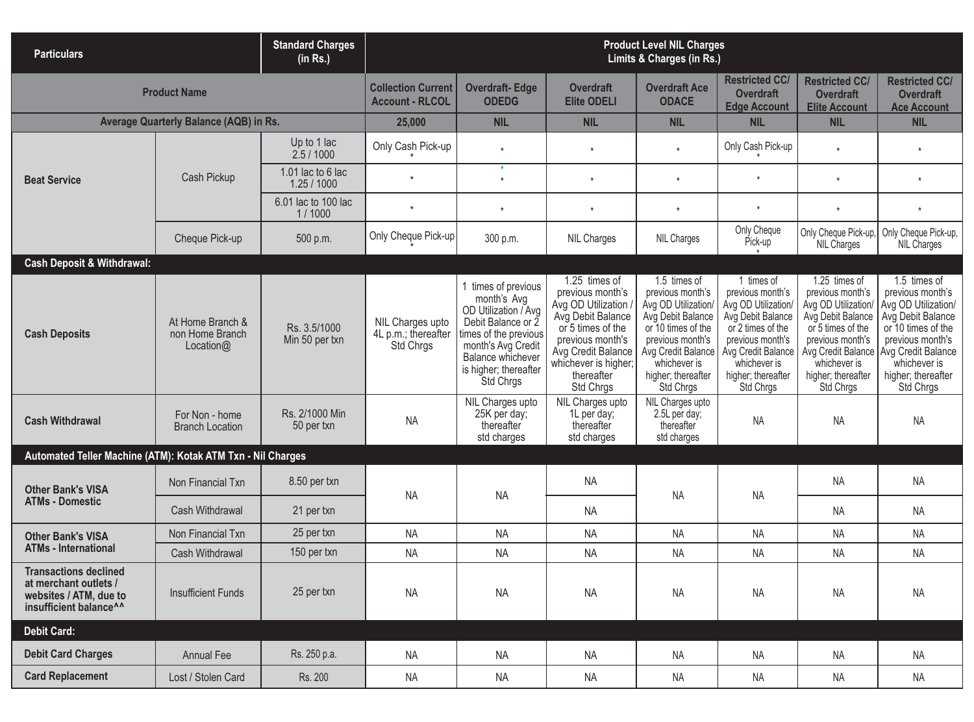| <b>Standard Charges</b><br><b>Particulars</b><br>(in Rs.)                                                             |                                                     | <b>Product Level NIL Charges</b><br>Limits & Charges (in Rs.) |                                                      |                                                                                                                                                                                            |                                                                                                                                                                                                  |                                                                                                                                                                                                |                                                                                                                                                                                              |                                                                                                                                                                                                 |                                                                                                                                                                                                 |
|-----------------------------------------------------------------------------------------------------------------------|-----------------------------------------------------|---------------------------------------------------------------|------------------------------------------------------|--------------------------------------------------------------------------------------------------------------------------------------------------------------------------------------------|--------------------------------------------------------------------------------------------------------------------------------------------------------------------------------------------------|------------------------------------------------------------------------------------------------------------------------------------------------------------------------------------------------|----------------------------------------------------------------------------------------------------------------------------------------------------------------------------------------------|-------------------------------------------------------------------------------------------------------------------------------------------------------------------------------------------------|-------------------------------------------------------------------------------------------------------------------------------------------------------------------------------------------------|
| <b>Product Name</b>                                                                                                   |                                                     | <b>Collection Current</b><br><b>Account - RLCOL</b>           | <b>Overdraft-Edge</b><br><b>ODEDG</b>                | <b>Overdraft</b><br><b>Elite ODELI</b>                                                                                                                                                     | <b>Overdraft Ace</b><br><b>ODACE</b>                                                                                                                                                             | <b>Restricted CC/</b><br><b>Overdraft</b><br><b>Edge Account</b>                                                                                                                               | <b>Restricted CC/</b><br><b>Overdraft</b><br><b>Elite Account</b>                                                                                                                            | <b>Restricted CC/</b><br><b>Overdraft</b><br><b>Ace Account</b>                                                                                                                                 |                                                                                                                                                                                                 |
|                                                                                                                       | Average Quarterly Balance (AQB) in Rs.              |                                                               | 25,000                                               | <b>NIL</b>                                                                                                                                                                                 | <b>NIL</b>                                                                                                                                                                                       | <b>NIL</b>                                                                                                                                                                                     | <b>NIL</b>                                                                                                                                                                                   | <b>NIL</b>                                                                                                                                                                                      | <b>NIL</b>                                                                                                                                                                                      |
|                                                                                                                       |                                                     | Up to 1 lac<br>2.5/1000                                       | Only Cash Pick-up                                    | $^\star$                                                                                                                                                                                   | $\star$                                                                                                                                                                                          | $\star$                                                                                                                                                                                        | Only Cash Pick-up                                                                                                                                                                            |                                                                                                                                                                                                 | $\star$                                                                                                                                                                                         |
| <b>Beat Service</b>                                                                                                   | Cash Pickup                                         | 1.01 lac to 6 lac<br>1.25/1000                                | $\star$                                              | $\star$<br>$^\star$                                                                                                                                                                        | $\star$                                                                                                                                                                                          | $\star$                                                                                                                                                                                        | $\star$                                                                                                                                                                                      | $\star$                                                                                                                                                                                         | $\star$                                                                                                                                                                                         |
|                                                                                                                       |                                                     | 6.01 lac to 100 lac<br>1/1000                                 | $\star$                                              | $^\star$                                                                                                                                                                                   | $\star$                                                                                                                                                                                          | $\star$                                                                                                                                                                                        | $\star$                                                                                                                                                                                      | $\star$                                                                                                                                                                                         | $\star$                                                                                                                                                                                         |
|                                                                                                                       | Cheque Pick-up                                      | 500 p.m.                                                      | Only Cheque Pick-up                                  | 300 p.m.                                                                                                                                                                                   | <b>NIL Charges</b>                                                                                                                                                                               | <b>NIL Charges</b>                                                                                                                                                                             | Only Cheque<br>Pick-up                                                                                                                                                                       | Only Cheque Pick-up,<br>NIL Charges                                                                                                                                                             | Only Cheque Pick-up,<br><b>NIL Charges</b>                                                                                                                                                      |
| <b>Cash Deposit &amp; Withdrawal:</b>                                                                                 |                                                     |                                                               |                                                      |                                                                                                                                                                                            |                                                                                                                                                                                                  |                                                                                                                                                                                                |                                                                                                                                                                                              |                                                                                                                                                                                                 |                                                                                                                                                                                                 |
| <b>Cash Deposits</b>                                                                                                  | At Home Branch &<br>non Home Branch<br>Location $@$ | Rs. 3.5/1000<br>Min 50 per txn                                | NIL Charges upto<br>4L p.m.; thereafter<br>Std Chrgs | 1 times of previous<br>month's Avg<br>OD Utilization / Avg<br>Debit Balance or 2<br>times of the previous<br>month's Avg Credit<br>Balance whichever<br>is higher; thereafter<br>Std Chrgs | 1.25 times of<br>previous month's<br>Avg OD Utilization /<br>Avg Debit Balance<br>or 5 times of the<br>previous month's<br>Avg Credit Balance<br>whichever is higher;<br>thereafter<br>Std Chrgs | 1.5 times of<br>previous month's<br>Avg OD Utilization<br>Avg Debit Balance<br>or 10 times of the<br>previous month's<br>Avg Credit Balance<br>whichever is<br>higher; thereafter<br>Std Chrgs | 1 times of<br>previous month's<br>Avg OD Utilization/<br>Avg Debit Balance<br>or 2 times of the<br>previous month's<br>Avg Credit Balance<br>whichever is<br>higher; thereafter<br>Std Chrgs | 1.25 times of<br>previous month's<br>Avg OD Utilization/<br>Avg Debit Balance<br>or 5 times of the<br>previous month's<br>Avg Credit Balance<br>whichever is<br>higher; thereafter<br>Std Chrgs | 1.5 times of<br>previous month's<br>Avg OD Utilization/<br>Avg Debit Balance<br>or 10 times of the<br>previous month's<br>Avg Credit Balance<br>whichever is<br>higher; thereafter<br>Std Chrgs |
| <b>Cash Withdrawal</b>                                                                                                | For Non - home<br><b>Branch Location</b>            | Rs. 2/1000 Min<br>50 per txn                                  | <b>NA</b>                                            | NIL Charges upto<br>25K per day;<br>thereafter<br>std charges                                                                                                                              | NIL Charges upto<br>1L per day;<br>thereafter<br>std charges                                                                                                                                     | NIL Charges upto<br>2.5L per day;<br>thereafter<br>std charges                                                                                                                                 | <b>NA</b>                                                                                                                                                                                    | <b>NA</b>                                                                                                                                                                                       | NA                                                                                                                                                                                              |
| Automated Teller Machine (ATM): Kotak ATM Txn - Nil Charges                                                           |                                                     |                                                               |                                                      |                                                                                                                                                                                            |                                                                                                                                                                                                  |                                                                                                                                                                                                |                                                                                                                                                                                              |                                                                                                                                                                                                 |                                                                                                                                                                                                 |
| <b>Other Bank's VISA</b>                                                                                              | Non Financial Txn                                   | 8.50 per txn                                                  | <b>NA</b>                                            | <b>NA</b>                                                                                                                                                                                  | <b>NA</b>                                                                                                                                                                                        | NA                                                                                                                                                                                             | <b>NA</b>                                                                                                                                                                                    | <b>NA</b>                                                                                                                                                                                       | <b>NA</b>                                                                                                                                                                                       |
| <b>ATMs - Domestic</b>                                                                                                | Cash Withdrawal                                     | 21 per txn                                                    |                                                      |                                                                                                                                                                                            | <b>NA</b>                                                                                                                                                                                        |                                                                                                                                                                                                |                                                                                                                                                                                              | <b>NA</b>                                                                                                                                                                                       | <b>NA</b>                                                                                                                                                                                       |
| <b>Other Bank's VISA</b>                                                                                              | Non Financial Txn                                   | 25 per txn                                                    | <b>NA</b>                                            | <b>NA</b>                                                                                                                                                                                  | <b>NA</b>                                                                                                                                                                                        | NA                                                                                                                                                                                             | <b>NA</b>                                                                                                                                                                                    | <b>NA</b>                                                                                                                                                                                       | <b>NA</b>                                                                                                                                                                                       |
| <b>ATMs - International</b>                                                                                           | Cash Withdrawal                                     | 150 per txn                                                   | <b>NA</b>                                            | NA                                                                                                                                                                                         | <b>NA</b>                                                                                                                                                                                        | <b>NA</b>                                                                                                                                                                                      | <b>NA</b>                                                                                                                                                                                    | <b>NA</b>                                                                                                                                                                                       | <b>NA</b>                                                                                                                                                                                       |
| <b>Transactions declined</b><br>at merchant outlets /<br>websites / ATM, due to<br>insufficient balance <sup>^^</sup> | <b>Insufficient Funds</b>                           | 25 per txn                                                    | <b>NA</b>                                            | <b>NA</b>                                                                                                                                                                                  | <b>NA</b>                                                                                                                                                                                        | NA                                                                                                                                                                                             | <b>NA</b>                                                                                                                                                                                    | <b>NA</b>                                                                                                                                                                                       | <b>NA</b>                                                                                                                                                                                       |
| <b>Debit Card:</b>                                                                                                    |                                                     |                                                               |                                                      |                                                                                                                                                                                            |                                                                                                                                                                                                  |                                                                                                                                                                                                |                                                                                                                                                                                              |                                                                                                                                                                                                 |                                                                                                                                                                                                 |
| <b>Debit Card Charges</b>                                                                                             | <b>Annual Fee</b>                                   | Rs. 250 p.a.                                                  | <b>NA</b>                                            | <b>NA</b>                                                                                                                                                                                  | <b>NA</b>                                                                                                                                                                                        | NA                                                                                                                                                                                             | <b>NA</b>                                                                                                                                                                                    | <b>NA</b>                                                                                                                                                                                       | <b>NA</b>                                                                                                                                                                                       |
| <b>Card Replacement</b>                                                                                               | Lost / Stolen Card                                  | Rs. 200                                                       | <b>NA</b>                                            | <b>NA</b>                                                                                                                                                                                  | <b>NA</b>                                                                                                                                                                                        | NA                                                                                                                                                                                             | <b>NA</b>                                                                                                                                                                                    | <b>NA</b>                                                                                                                                                                                       | <b>NA</b>                                                                                                                                                                                       |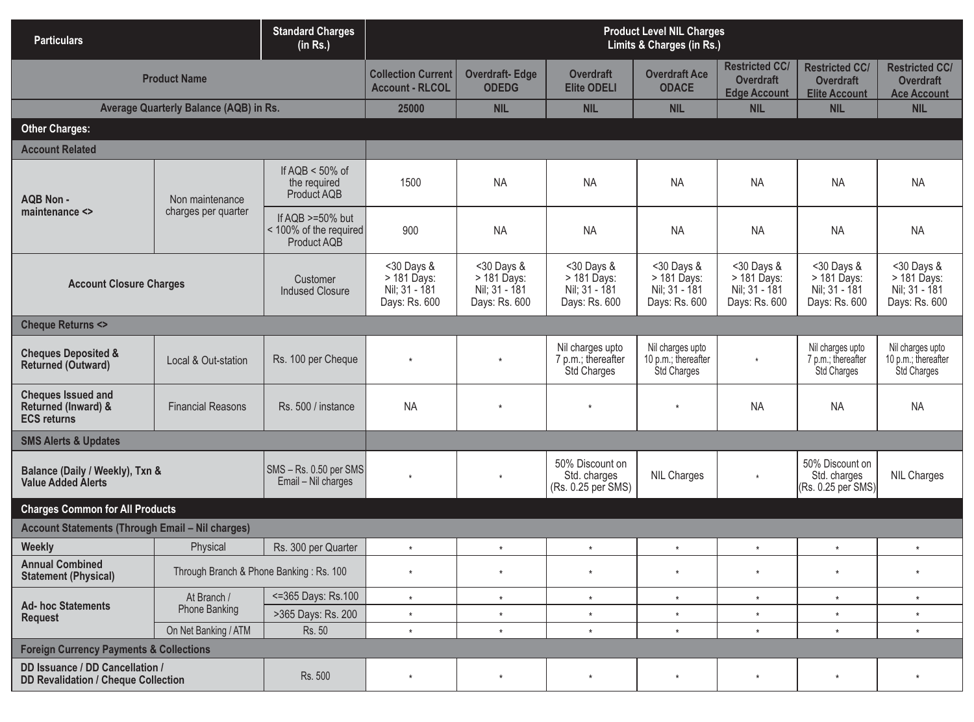| <b>Standard Charges</b><br><b>Particulars</b><br>(in Rs.)                                        |                                        | <b>Product Level NIL Charges</b><br>Limits & Charges (in Rs.) |                                                             |                                                              |                                                              |                                                                  |                                                                   |                                                                  |                                                        |
|--------------------------------------------------------------------------------------------------|----------------------------------------|---------------------------------------------------------------|-------------------------------------------------------------|--------------------------------------------------------------|--------------------------------------------------------------|------------------------------------------------------------------|-------------------------------------------------------------------|------------------------------------------------------------------|--------------------------------------------------------|
| <b>Product Name</b>                                                                              |                                        | <b>Collection Current</b><br><b>Account - RLCOL</b>           | <b>Overdraft-Edge</b><br><b>ODEDG</b>                       | <b>Overdraft</b><br><b>Elite ODELI</b>                       | <b>Overdraft Ace</b><br><b>ODACE</b>                         | <b>Restricted CC/</b><br><b>Overdraft</b><br><b>Edge Account</b> | <b>Restricted CC/</b><br><b>Overdraft</b><br><b>Elite Account</b> | <b>Restricted CC/</b><br><b>Overdraft</b><br><b>Ace Account</b>  |                                                        |
|                                                                                                  | Average Quarterly Balance (AQB) in Rs. |                                                               | 25000                                                       | <b>NIL</b>                                                   | <b>NIL</b>                                                   | <b>NIL</b>                                                       | <b>NIL</b>                                                        | <b>NIL</b>                                                       | <b>NIL</b>                                             |
| <b>Other Charges:</b>                                                                            |                                        |                                                               |                                                             |                                                              |                                                              |                                                                  |                                                                   |                                                                  |                                                        |
| <b>Account Related</b>                                                                           |                                        |                                                               |                                                             |                                                              |                                                              |                                                                  |                                                                   |                                                                  |                                                        |
| <b>AQB Non-</b><br>maintenance <>                                                                | Non maintenance                        | If $AQB < 50\%$ of<br>the required<br>Product AQB             | 1500                                                        | <b>NA</b>                                                    | <b>NA</b>                                                    | <b>NA</b>                                                        | <b>NA</b>                                                         | <b>NA</b>                                                        | <b>NA</b>                                              |
|                                                                                                  | charges per quarter                    | If $AQB$ >=50% but<br>< 100% of the required<br>Product AQB   | 900                                                         | <b>NA</b>                                                    | <b>NA</b>                                                    | <b>NA</b>                                                        | <b>NA</b>                                                         | <b>NA</b>                                                        | <b>NA</b>                                              |
| Customer<br><b>Account Closure Charges</b><br><b>Indused Closure</b>                             |                                        | $30$ Days &<br>> 181 Days:<br>Nil; 31 - 181<br>Days: Rs. 600  | <30 Days &<br>> 181 Days:<br>Nil; 31 - 181<br>Days: Rs. 600 | $30$ Days &<br>> 181 Days:<br>Nil; 31 - 181<br>Days: Rs. 600 | $30$ Days &<br>> 181 Days:<br>Nil; 31 - 181<br>Days: Rs. 600 | <30 Days &<br>> 181 Days:<br>Nil; 31 - 181<br>Days: Rs. 600      | $30$ Days &<br>> 181 Days:<br>Nil; 31 - 181<br>Days: Rs. 600      | <30 Days &<br>> 181 Days:<br>Nil; 31 - 181<br>Days: Rs. 600      |                                                        |
| <b>Cheque Returns &lt;&gt;</b>                                                                   |                                        |                                                               |                                                             |                                                              |                                                              |                                                                  |                                                                   |                                                                  |                                                        |
| <b>Cheques Deposited &amp;</b><br><b>Returned (Outward)</b>                                      | Local & Out-station                    | Rs. 100 per Cheque                                            | $\star$                                                     | $\star$                                                      | Nil charges upto<br>7 p.m.; thereafter<br>Std Charges        | Nil charges upto<br>10 p.m.; thereafter<br>Std Charges           | $\star$                                                           | Nil charges upto<br>7 p.m.; thereafter<br>Std Charges            | Nil charges upto<br>10 p.m.; thereafter<br>Std Charges |
| <b>Cheques Issued and</b><br><b>Returned (Inward) &amp;</b><br><b>ECS returns</b>                | <b>Financial Reasons</b>               | Rs. 500 / instance                                            | <b>NA</b>                                                   | $^\star$                                                     | $^\star$                                                     | $\star$                                                          | <b>NA</b>                                                         | <b>NA</b>                                                        | <b>NA</b>                                              |
| <b>SMS Alerts &amp; Updates</b>                                                                  |                                        |                                                               |                                                             |                                                              |                                                              |                                                                  |                                                                   |                                                                  |                                                        |
| Balance (Daily / Weekly), Txn &<br><b>Value Added Alerts</b>                                     |                                        | $ {\rm SMS} - {\rm Rs.}$ 0.50 per SMS<br>Email - Nil charges  | $^\star$                                                    |                                                              | 50% Discount on<br>Std. charges<br>(Rs. 0.25 per SMS)        | <b>NIL Charges</b>                                               | $^\star$                                                          | 50% Discount on<br>Std. charges<br>$(Rs. 0.25 \text{ per } SMS)$ | <b>NIL Charges</b>                                     |
| <b>Charges Common for All Products</b>                                                           |                                        |                                                               |                                                             |                                                              |                                                              |                                                                  |                                                                   |                                                                  |                                                        |
| <b>Account Statements (Through Email - Nil charges)</b>                                          |                                        |                                                               |                                                             |                                                              |                                                              |                                                                  |                                                                   |                                                                  |                                                        |
| Weekly                                                                                           | Physical                               | Rs. 300 per Quarter                                           | $\star$                                                     | $^\star$                                                     | $^\star$                                                     | $^\star$                                                         | $\star$                                                           | $\star$                                                          | $\star$                                                |
| <b>Annual Combined</b><br>Through Branch & Phone Banking: Rs. 100<br><b>Statement (Physical)</b> |                                        | $^\star$                                                      | $\star$                                                     | $^\star$                                                     | $^\star$                                                     | $^\star$                                                         | $^\star$                                                          | $\star$                                                          |                                                        |
| <b>Ad- hoc Statements</b><br><b>Request</b>                                                      | At Branch /                            | <= 365 Days: Rs. 100                                          | $\star$                                                     | $\star$                                                      | $^\star$                                                     | $^\star$                                                         | $^\star$                                                          | $^\star$                                                         | $^\star$                                               |
|                                                                                                  | Phone Banking                          | >365 Days: Rs. 200                                            | $\star$                                                     | $^\star$                                                     | $\star$                                                      | $\star$                                                          | $^\star$                                                          | $^\star$                                                         | $^\star$                                               |
|                                                                                                  | On Net Banking / ATM                   | Rs. 50                                                        | $\star$                                                     | $^\star$                                                     | $^\star$                                                     | $^\star$                                                         | $^\star$                                                          | $\star$                                                          | $\star$                                                |
| <b>Foreign Currency Payments &amp; Collections</b>                                               |                                        |                                                               |                                                             |                                                              |                                                              |                                                                  |                                                                   |                                                                  |                                                        |
| DD Issuance / DD Cancellation /<br>Rs. 500<br><b>DD Revalidation / Cheque Collection</b>         |                                        |                                                               | $^\star$                                                    | $\star$                                                      | $^\star$                                                     | $^\star$                                                         | $^\star$                                                          | $^\star$                                                         | $\star$                                                |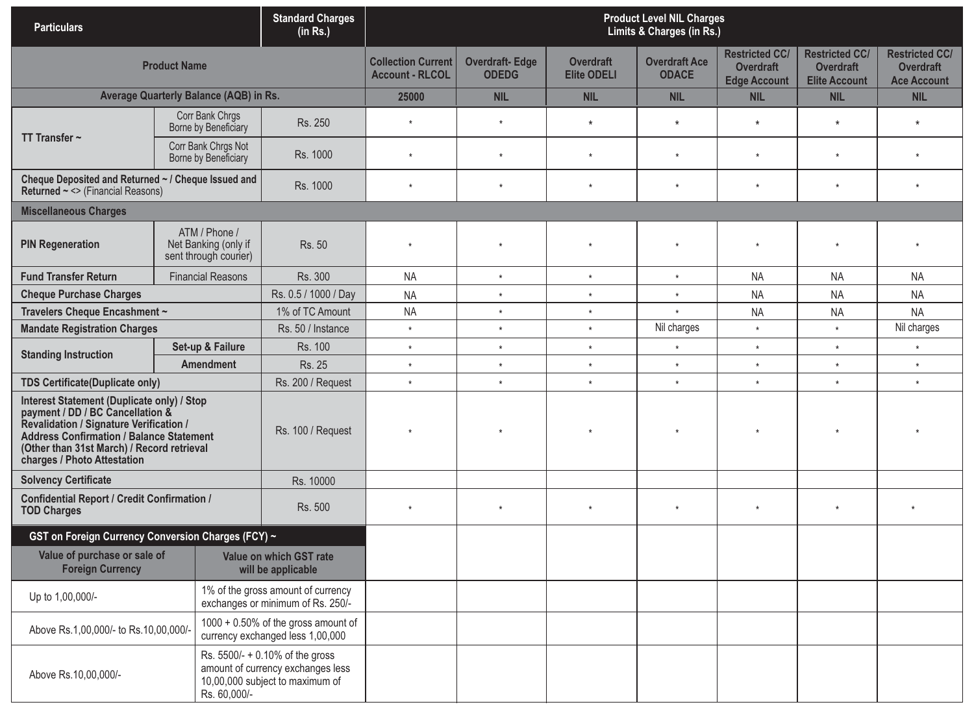| <b>Particulars</b>                                                                                                                                                                                                                                        |                                                                | <b>Standard Charges</b><br>(in Rs.)                                                                     | <b>Product Level NIL Charges</b><br>Limits & Charges (in Rs.) |                                        |                                      |                                                                  |                                                                   |                                                                 |             |
|-----------------------------------------------------------------------------------------------------------------------------------------------------------------------------------------------------------------------------------------------------------|----------------------------------------------------------------|---------------------------------------------------------------------------------------------------------|---------------------------------------------------------------|----------------------------------------|--------------------------------------|------------------------------------------------------------------|-------------------------------------------------------------------|-----------------------------------------------------------------|-------------|
| <b>Product Name</b>                                                                                                                                                                                                                                       |                                                                | <b>Collection Current</b><br><b>Account - RLCOL</b>                                                     | <b>Overdraft-Edge</b><br><b>ODEDG</b>                         | <b>Overdraft</b><br><b>Elite ODELI</b> | <b>Overdraft Ace</b><br><b>ODACE</b> | <b>Restricted CC/</b><br><b>Overdraft</b><br><b>Edge Account</b> | <b>Restricted CC/</b><br><b>Overdraft</b><br><b>Elite Account</b> | <b>Restricted CC/</b><br><b>Overdraft</b><br><b>Ace Account</b> |             |
|                                                                                                                                                                                                                                                           | Average Quarterly Balance (AQB) in Rs.                         |                                                                                                         | 25000                                                         | <b>NIL</b>                             | <b>NIL</b>                           | <b>NIL</b>                                                       | <b>NIL</b>                                                        | <b>NIL</b>                                                      | <b>NIL</b>  |
| TT Transfer $\sim$                                                                                                                                                                                                                                        | Corr Bank Chrgs<br>Borne by Beneficiary                        | Rs. 250                                                                                                 | $^\star$                                                      | $^\star$                               | $\star$                              | $\star$                                                          | $\star$                                                           | $^\star$                                                        | $\star$     |
|                                                                                                                                                                                                                                                           | Corr Bank Chrgs Not<br>Borne by Beneficiary                    | Rs. 1000                                                                                                | $^\star$                                                      | $\star$                                | $\star$                              | $^\star$                                                         | $^\star$                                                          | $\star$                                                         |             |
| Cheque Deposited and Returned ~ / Cheque Issued and<br>Returned ~ <> (Financial Reasons)                                                                                                                                                                  |                                                                | Rs. 1000                                                                                                | $^\star$                                                      | $\star$                                | $\star$                              | $^\star$                                                         | $^\star$                                                          | $\star$                                                         | $\star$     |
| <b>Miscellaneous Charges</b>                                                                                                                                                                                                                              |                                                                |                                                                                                         |                                                               |                                        |                                      |                                                                  |                                                                   |                                                                 |             |
| <b>PIN Regeneration</b>                                                                                                                                                                                                                                   | ATM / Phone /<br>Net Banking (only if<br>sent through courier) | Rs. 50                                                                                                  | $\star$                                                       | $\star$                                | $\star$                              | $\star$                                                          | $^\star$                                                          | $\star$                                                         | $\star$     |
| <b>Fund Transfer Return</b>                                                                                                                                                                                                                               | <b>Financial Reasons</b>                                       | Rs. 300                                                                                                 | <b>NA</b>                                                     | $^\star$                               | $^\star$                             | $\star$                                                          | <b>NA</b>                                                         | <b>NA</b>                                                       | <b>NA</b>   |
| <b>Cheque Purchase Charges</b>                                                                                                                                                                                                                            |                                                                | Rs. 0.5 / 1000 / Day                                                                                    | <b>NA</b>                                                     | $^\star$                               | $^\star$                             | $^\star$                                                         | <b>NA</b>                                                         | <b>NA</b>                                                       | <b>NA</b>   |
| Travelers Cheque Encashment ~                                                                                                                                                                                                                             |                                                                | 1% of TC Amount                                                                                         | <b>NA</b>                                                     | $\star$                                | $^\star$                             | $\star$                                                          | <b>NA</b>                                                         | <b>NA</b>                                                       | <b>NA</b>   |
| <b>Mandate Registration Charges</b>                                                                                                                                                                                                                       |                                                                | Rs. 50 / Instance                                                                                       | $\star$                                                       | $^\star$                               | $\star$                              | Nil charges                                                      | $\star$                                                           | $^\star$                                                        | Nil charges |
| <b>Standing Instruction</b>                                                                                                                                                                                                                               | Set-up & Failure                                               | Rs. 100                                                                                                 | $\star$                                                       | $\star$                                | $\star$                              | $^\star$                                                         | $\star$                                                           | $\star$                                                         | $\star$     |
|                                                                                                                                                                                                                                                           | <b>Amendment</b>                                               | <b>Rs. 25</b>                                                                                           | $\star$                                                       | $^\star$                               | $\star$                              | $^\star$                                                         | $\star$                                                           | $\star$                                                         | $\star$     |
| <b>TDS Certificate(Duplicate only)</b>                                                                                                                                                                                                                    |                                                                | Rs. 200 / Request                                                                                       | $\star$                                                       | $\star$                                | $\star$                              | $\star$                                                          | $\star$                                                           | $\star$                                                         |             |
| Interest Statement (Duplicate only) / Stop<br>payment / DD / BC Cancellation &<br>Revalidation / Signature Verification /<br><b>Address Confirmation / Balance Statement</b><br>(Other than 31st March) / Record retrieval<br>charges / Photo Attestation |                                                                | Rs. 100 / Request                                                                                       | $\star$                                                       | $\star$                                | $\star$                              | $\star$                                                          | $\star$                                                           | $\star$                                                         |             |
| <b>Solvency Certificate</b>                                                                                                                                                                                                                               |                                                                | Rs. 10000                                                                                               |                                                               |                                        |                                      |                                                                  |                                                                   |                                                                 |             |
| <b>Confidential Report / Credit Confirmation /</b><br><b>TOD Charges</b>                                                                                                                                                                                  |                                                                | Rs. 500                                                                                                 | $\star$                                                       | $\star$                                | $\star$                              | $\star$                                                          | $^\star$                                                          | $\star$                                                         | $\star$     |
| GST on Foreign Currency Conversion Charges (FCY) ~                                                                                                                                                                                                        |                                                                |                                                                                                         |                                                               |                                        |                                      |                                                                  |                                                                   |                                                                 |             |
| Value of purchase or sale of<br><b>Foreign Currency</b>                                                                                                                                                                                                   |                                                                | Value on which GST rate<br>will be applicable                                                           |                                                               |                                        |                                      |                                                                  |                                                                   |                                                                 |             |
| 1% of the gross amount of currency<br>Up to 1,00,000/-<br>exchanges or minimum of Rs. 250/-                                                                                                                                                               |                                                                |                                                                                                         |                                                               |                                        |                                      |                                                                  |                                                                   |                                                                 |             |
| 1000 + 0.50% of the gross amount of<br>Above Rs.1,00,000/- to Rs.10,00,000/-<br>currency exchanged less 1,00,000                                                                                                                                          |                                                                |                                                                                                         |                                                               |                                        |                                      |                                                                  |                                                                   |                                                                 |             |
| Above Rs.10,00,000/-<br>Rs. 60,000/-                                                                                                                                                                                                                      |                                                                | Rs. 5500/- + 0.10% of the gross<br>amount of currency exchanges less<br>10,00,000 subject to maximum of |                                                               |                                        |                                      |                                                                  |                                                                   |                                                                 |             |